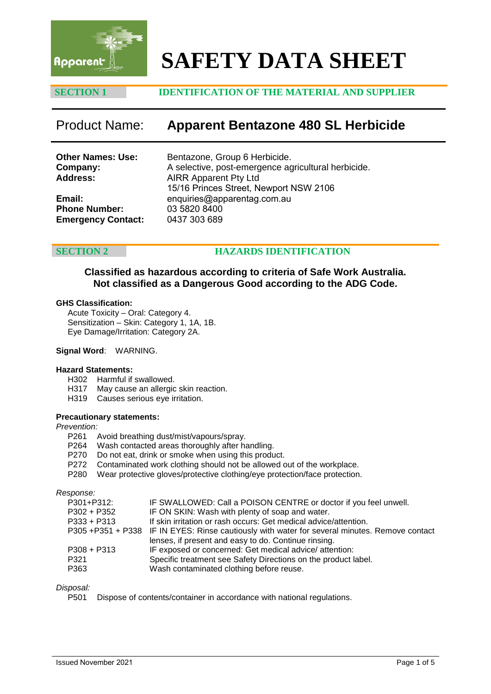

# **SAFETY DATA SHEET**

# **SECTION 1 IDENTIFICATION OF THE MATERIAL AND SUPPLIER**

# Product Name: **Apparent Bentazone 480 SL Herbicide**

| <b>Other Names: Use:</b><br>Company:<br><b>Address:</b> | Bentazone, Group 6 Herbicide.<br>A selective, post-emergence agricultural herbicide.<br><b>AIRR Apparent Pty Ltd</b><br>15/16 Princes Street, Newport NSW 2106 |
|---------------------------------------------------------|----------------------------------------------------------------------------------------------------------------------------------------------------------------|
| Email:                                                  | enquiries@apparentag.com.au                                                                                                                                    |
| <b>Phone Number:</b>                                    | 03 5820 8400                                                                                                                                                   |
| <b>Emergency Contact:</b>                               | 0437 303 689                                                                                                                                                   |

# **SECTION 2 [HAZARDS ID](mailto:wwardell@bigpond.net.au)ENTIFICATION**

**Classified as hazardous according to criteria of Safe Work Australia. Not classified as a Dangerous Good according to the ADG Code.**

### **GHS Classification:**

Acute Toxicity – Oral: Category 4. Sensitization – Skin: Category 1, 1A, 1B. Eye Damage/Irritation: Category 2A.

### **Signal Word**: WARNING.

### **Hazard Statements:**

- H302 Harmful if swallowed.
- H317 May cause an allergic skin reaction.
- H319 Causes serious eye irritation.

### **Precautionary statements:**

#### *Prevention:*

- P261 Avoid breathing dust/mist/vapours/spray.
- P264 Wash contacted areas thoroughly after handling.
- P270 Do not eat, drink or smoke when using this product.
- P272 Contaminated work clothing should not be allowed out of the workplace.
- P280 Wear protective gloves/protective clothing/eye protection/face protection.

*Response:*

| P301+P312:  | IF SWALLOWED: Call a POISON CENTRE or doctor if you feel unwell.                              |
|-------------|-----------------------------------------------------------------------------------------------|
| P302 + P352 | IF ON SKIN: Wash with plenty of soap and water.                                               |
| P333 + P313 | If skin irritation or rash occurs: Get medical advice/attention.                              |
|             | P305 +P351 + P338 IF IN EYES: Rinse cautiously with water for several minutes. Remove contact |
|             | lenses, if present and easy to do. Continue rinsing.                                          |
| P308 + P313 | IF exposed or concerned: Get medical advice/attention:                                        |
| P321        | Specific treatment see Safety Directions on the product label.                                |
| P363        | Wash contaminated clothing before reuse.                                                      |
|             |                                                                                               |

# *Disposal:*

Dispose of contents/container in accordance with national regulations.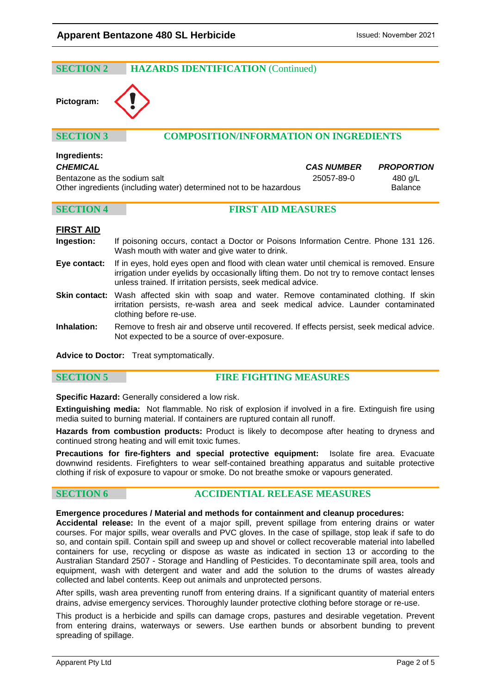### **SECTION 2 HAZARDS IDENTIFICATION** (Continued)

# **Pictogram:**

# **SECTION 3 COMPOSITION/INFORMATION ON INGREDIENTS**

# **Ingredients:**

| <b>CHEMICAL</b>                                                    | <b>CAS NUMBER</b> | <b>PROPORTION</b> |
|--------------------------------------------------------------------|-------------------|-------------------|
| Bentazone as the sodium salt                                       | 25057-89-0        | 480 a/L           |
| Other ingredients (including water) determined not to be hazardous |                   | <b>Balance</b>    |

### **SECTION 4 FIRST AID MEASURES**

# **FIRST AID**

- **Ingestion:** If poisoning occurs, contact a Doctor or Poisons Information Centre. Phone 131 126. Wash mouth with water and give water to drink.
- **Eye contact:** If in eyes, hold eyes open and flood with clean water until chemical is removed. Ensure irrigation under eyelids by occasionally lifting them. Do not try to remove contact lenses unless trained. If irritation persists, seek medical advice.
- **Skin contact:** Wash affected skin with soap and water. Remove contaminated clothing. If skin irritation persists, re-wash area and seek medical advice. Launder contaminated clothing before re-use.
- **Inhalation:** Remove to fresh air and observe until recovered. If effects persist, seek medical advice. Not expected to be a source of over-exposure.

**Advice to Doctor:** Treat symptomatically.

### **SECTION 5 FIRE FIGHTING MEASURES**

**Specific Hazard:** Generally considered a low risk.

**Extinguishing media:** Not flammable. No risk of explosion if involved in a fire. Extinguish fire using media suited to burning material. If containers are ruptured contain all runoff.

**Hazards from combustion products:** Product is likely to decompose after heating to dryness and continued strong heating and will emit toxic fumes.

**Precautions for fire-fighters and special protective equipment:** Isolate fire area. Evacuate downwind residents. Firefighters to wear self-contained breathing apparatus and suitable protective clothing if risk of exposure to vapour or smoke. Do not breathe smoke or vapours generated.

## **SECTION 6 ACCIDENTIAL RELEASE MEASURES**

### **Emergence procedures / Material and methods for containment and cleanup procedures:**

**Accidental release:** In the event of a major spill, prevent spillage from entering drains or water courses. For major spills, wear overalls and PVC gloves. In the case of spillage, stop leak if safe to do so, and contain spill. Contain spill and sweep up and shovel or collect recoverable material into labelled containers for use, recycling or dispose as waste as indicated in section 13 or according to the Australian Standard 2507 - Storage and Handling of Pesticides. To decontaminate spill area, tools and equipment, wash with detergent and water and add the solution to the drums of wastes already collected and label contents. Keep out animals and unprotected persons.

After spills, wash area preventing runoff from entering drains. If a significant quantity of material enters drains, advise emergency services. Thoroughly launder protective clothing before storage or re-use.

This product is a herbicide and spills can damage crops, pastures and desirable vegetation. Prevent from entering drains, waterways or sewers. Use earthen bunds or absorbent bunding to prevent spreading of spillage.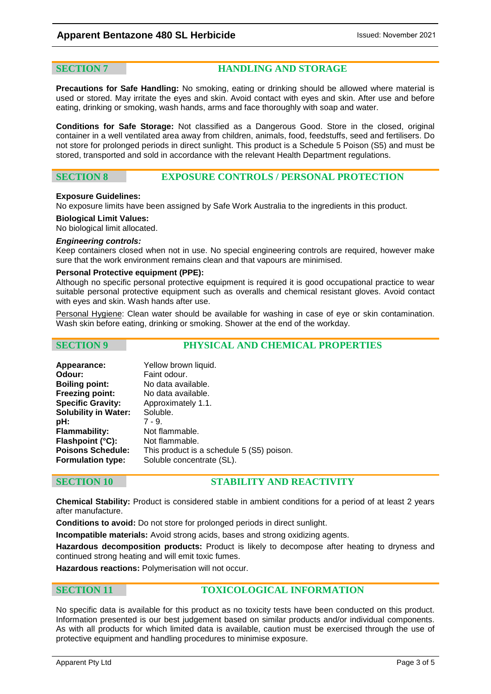**SECTION 7 HANDLING AND STORAGE**

**Precautions for Safe Handling:** No smoking, eating or drinking should be allowed where material is used or stored. May irritate the eyes and skin. Avoid contact with eyes and skin. After use and before eating, drinking or smoking, wash hands, arms and face thoroughly with soap and water.

**Conditions for Safe Storage:** Not classified as a Dangerous Good. Store in the closed, original container in a well ventilated area away from children, animals, food, feedstuffs, seed and fertilisers. Do not store for prolonged periods in direct sunlight. This product is a Schedule 5 Poison (S5) and must be stored, transported and sold in accordance with the relevant Health Department regulations.

# **SECTION 8 EXPOSURE CONTROLS / PERSONAL PROTECTION**

### **Exposure Guidelines:**

No exposure limits have been assigned by Safe Work Australia to the ingredients in this product.

**Biological Limit Values:** 

No biological limit allocated.

#### *Engineering controls:*

Keep containers closed when not in use. No special engineering controls are required, however make sure that the work environment remains clean and that vapours are minimised.

### **Personal Protective equipment (PPE):**

Although no specific personal protective equipment is required it is good occupational practice to wear suitable personal protective equipment such as overalls and chemical resistant gloves. Avoid contact with eyes and skin. Wash hands after use.

Personal Hygiene: Clean water should be available for washing in case of eye or skin contamination. Wash skin before eating, drinking or smoking. Shower at the end of the workday.

**SECTION 9 PHYSICAL AND CHEMICAL PROPERTIES**

| Appearance:                 | Yellow brown liquid.                      |
|-----------------------------|-------------------------------------------|
| Odour:                      | Faint odour.                              |
| <b>Boiling point:</b>       | No data available.                        |
| <b>Freezing point:</b>      | No data available.                        |
| <b>Specific Gravity:</b>    | Approximately 1.1.                        |
| <b>Solubility in Water:</b> | Soluble.                                  |
| pH:                         | $7 - 9.$                                  |
| <b>Flammability:</b>        | Not flammable.                            |
| Flashpoint (°C):            | Not flammable.                            |
| <b>Poisons Schedule:</b>    | This product is a schedule 5 (S5) poison. |
| <b>Formulation type:</b>    | Soluble concentrate (SL).                 |

# **SECTION 10 STABILITY AND REACTIVITY**

**Chemical Stability:** Product is considered stable in ambient conditions for a period of at least 2 years after manufacture.

**Conditions to avoid:** Do not store for prolonged periods in direct sunlight.

**Incompatible materials:** Avoid strong acids, bases and strong oxidizing agents.

**Hazardous decomposition products:** Product is likely to decompose after heating to dryness and continued strong heating and will emit toxic fumes.

**Hazardous reactions:** Polymerisation will not occur.

# **SECTION 11 TOXICOLOGICAL INFORMATION**

No specific data is available for this product as no toxicity tests have been conducted on this product. Information presented is our best judgement based on similar products and/or individual components. As with all products for which limited data is available, caution must be exercised through the use of protective equipment and handling procedures to minimise exposure.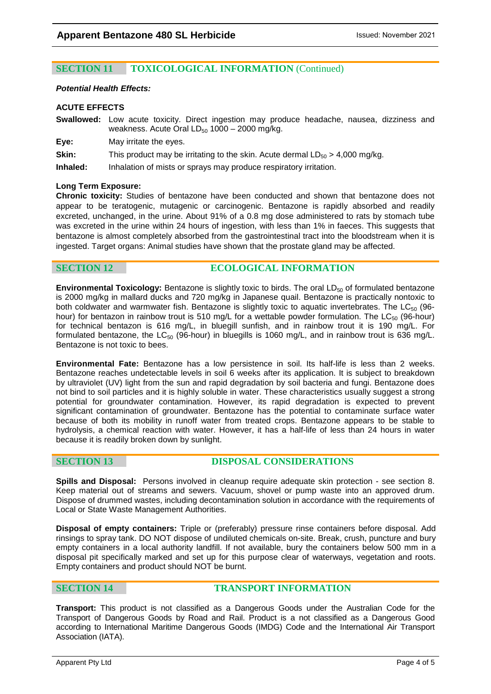# **SECTION 11 TOXICOLOGICAL INFORMATION** (Continued)

### *Potential Health Effects:*

### **ACUTE EFFECTS**

**Swallowed:** Low acute toxicity. Direct ingestion may produce headache, nausea, dizziness and weakness. Acute Oral  $LD_{50}$  1000 – 2000 mg/kg.

**Eye:** May irritate the eyes.

**Skin:** This product may be irritating to the skin. Acute dermal  $LD_{50} > 4,000$  mg/kg.

**Inhaled:** Inhalation of mists or sprays may produce respiratory irritation.

### **Long Term Exposure:**

**Chronic toxicity:** Studies of bentazone have been conducted and shown that bentazone does not appear to be teratogenic, mutagenic or carcinogenic. Bentazone is rapidly absorbed and readily excreted, unchanged, in the urine. About 91% of a 0.8 mg dose administered to rats by stomach tube was excreted in the urine within 24 hours of ingestion, with less than 1% in faeces. This suggests that bentazone is almost completely absorbed from the gastrointestinal tract into the bloodstream when it is ingested. Target organs: Animal studies have shown that the prostate gland may be affected.

### **SECTION 12 ECOLOGICAL INFORMATION**

**Environmental Toxicology:** Bentazone is slightly toxic to birds. The oral LD<sub>50</sub> of formulated bentazone is 2000 mg/kg in mallard ducks and 720 mg/kg in Japanese quail. Bentazone is practically nontoxic to both coldwater and warmwater fish. Bentazone is slightly toxic to aquatic invertebrates. The  $LC_{50}$  (96hour) for bentazon in rainbow trout is 510 mg/L for a wettable powder formulation. The  $LC_{50}$  (96-hour) for technical bentazon is 616 mg/L, in bluegill sunfish, and in rainbow trout it is 190 mg/L. For formulated bentazone, the  $LC_{50}$  (96-hour) in bluegills is 1060 mg/L, and in rainbow trout is 636 mg/L. Bentazone is not toxic to bees.

**Environmental Fate:** Bentazone has a low persistence in soil. Its half-life is less than 2 weeks. Bentazone reaches undetectable levels in soil 6 weeks after its application. It is subject to breakdown by ultraviolet (UV) light from the sun and rapid degradation by soil bacteria and fungi. Bentazone does not bind to soil particles and it is highly soluble in water. These characteristics usually suggest a strong potential for groundwater contamination. However, its rapid degradation is expected to prevent significant contamination of groundwater. Bentazone has the potential to contaminate surface water because of both its mobility in runoff water from treated crops. Bentazone appears to be stable to hydrolysis, a chemical reaction with water. However, it has a half-life of less than 24 hours in water because it is readily broken down by sunlight.

### **SECTION 13 DISPOSAL CONSIDERATIONS**

**Spills and Disposal:** Persons involved in cleanup require adequate skin protection - see section 8. Keep material out of streams and sewers. Vacuum, shovel or pump waste into an approved drum. Dispose of drummed wastes, including decontamination solution in accordance with the requirements of Local or State Waste Management Authorities.

**Disposal of empty containers:** Triple or (preferably) pressure rinse containers before disposal. Add rinsings to spray tank. DO NOT dispose of undiluted chemicals on-site. Break, crush, puncture and bury empty containers in a local authority landfill. If not available, bury the containers below 500 mm in a disposal pit specifically marked and set up for this purpose clear of waterways, vegetation and roots. Empty containers and product should NOT be burnt.

## **SECTION 14 TRANSPORT INFORMATION**

**Transport:** This product is not classified as a Dangerous Goods under the Australian Code for the Transport of Dangerous Goods by Road and Rail. Product is a not classified as a Dangerous Good according to International Maritime Dangerous Goods (IMDG) Code and the International Air Transport Association (IATA).